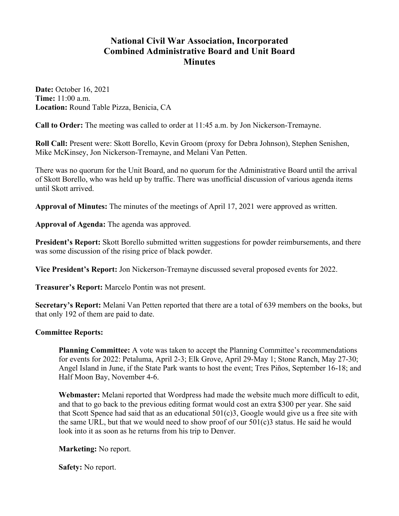## **National Civil War Association, Incorporated Combined Administrative Board and Unit Board Minutes**

**Date:** October 16, 2021 **Time:** 11:00 a.m. **Location:** Round Table Pizza, Benicia, CA

**Call to Order:** The meeting was called to order at 11:45 a.m. by Jon Nickerson-Tremayne.

**Roll Call:** Present were: Skott Borello, Kevin Groom (proxy for Debra Johnson), Stephen Senishen, Mike McKinsey, Jon Nickerson-Tremayne, and Melani Van Petten.

There was no quorum for the Unit Board, and no quorum for the Administrative Board until the arrival of Skott Borello, who was held up by traffic. There was unofficial discussion of various agenda items until Skott arrived.

**Approval of Minutes:** The minutes of the meetings of April 17, 2021 were approved as written.

**Approval of Agenda:** The agenda was approved.

**President's Report:** Skott Borello submitted written suggestions for powder reimbursements, and there was some discussion of the rising price of black powder.

**Vice President's Report:** Jon Nickerson-Tremayne discussed several proposed events for 2022.

**Treasurer's Report:** Marcelo Pontin was not present.

**Secretary's Report:** Melani Van Petten reported that there are a total of 639 members on the books, but that only 192 of them are paid to date.

## **Committee Reports:**

**Planning Committee:** A vote was taken to accept the Planning Committee's recommendations for events for 2022: Petaluma, April 2-3; Elk Grove, April 29-May 1; Stone Ranch, May 27-30; Angel Island in June, if the State Park wants to host the event; Tres Piños, September 16-18; and Half Moon Bay, November 4-6.

**Webmaster:** Melani reported that Wordpress had made the website much more difficult to edit, and that to go back to the previous editing format would cost an extra \$300 per year. She said that Scott Spence had said that as an educational 501(c)3, Google would give us a free site with the same URL, but that we would need to show proof of our 501(c)3 status. He said he would look into it as soon as he returns from his trip to Denver.

**Marketing:** No report.

**Safety:** No report.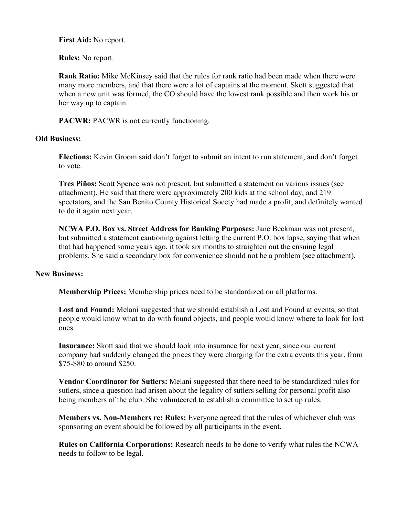**First Aid:** No report.

**Rules:** No report.

**Rank Ratio:** Mike McKinsey said that the rules for rank ratio had been made when there were many more members, and that there were a lot of captains at the moment. Skott suggested that when a new unit was formed, the CO should have the lowest rank possible and then work his or her way up to captain.

PACWR: PACWR is not currently functioning.

## **Old Business:**

**Elections:** Kevin Groom said don't forget to submit an intent to run statement, and don't forget to vote.

**Tres Piños:** Scott Spence was not present, but submitted a statement on various issues (see attachment). He said that there were approximately 200 kids at the school day, and 219 spectators, and the San Benito County Historical Socety had made a profit, and definitely wanted to do it again next year.

**NCWA P.O. Box vs. Street Address for Banking Purposes:** Jane Beckman was not present, but submitted a statement cautioning against letting the current P.O. box lapse, saying that when that had happened some years ago, it took six months to straighten out the ensuing legal problems. She said a secondary box for convenience should not be a problem (see attachment).

## **New Business:**

**Membership Prices:** Membership prices need to be standardized on all platforms.

**Lost and Found:** Melani suggested that we should establish a Lost and Found at events, so that people would know what to do with found objects, and people would know where to look for lost ones.

**Insurance:** Skott said that we should look into insurance for next year, since our current company had suddenly changed the prices they were charging for the extra events this year, from \$75-\$80 to around \$250.

**Vendor Coordinator for Sutlers:** Melani suggested that there need to be standardized rules for sutlers, since a question had arisen about the legality of sutlers selling for personal profit also being members of the club. She volunteered to establish a committee to set up rules.

**Members vs. Non-Members re: Rules:** Everyone agreed that the rules of whichever club was sponsoring an event should be followed by all participants in the event.

**Rules on California Corporations:** Research needs to be done to verify what rules the NCWA needs to follow to be legal.